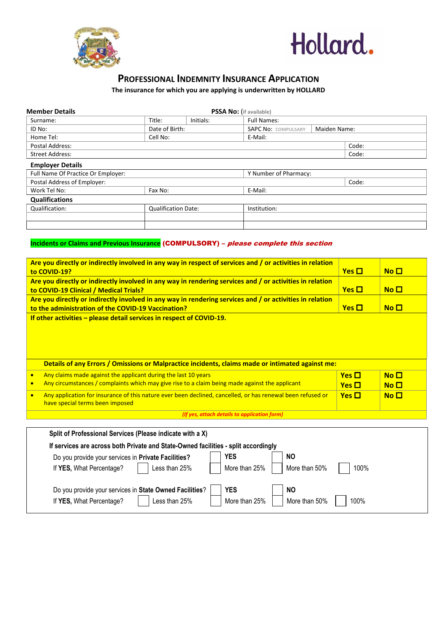



# **PROFESSIONAL INDEMNITY INSURANCE APPLICATION**

## **The insurance for which you are applying is underwritten by HOLLARD**

| <b>Member Details</b>                                                                                                                                          |                                                                                                           |           | PSSA No: (if available)                      |       |                 |                 |  |  |
|----------------------------------------------------------------------------------------------------------------------------------------------------------------|-----------------------------------------------------------------------------------------------------------|-----------|----------------------------------------------|-------|-----------------|-----------------|--|--|
| Surname:                                                                                                                                                       | Title:                                                                                                    | Initials: | <b>Full Names:</b>                           |       |                 |                 |  |  |
| ID No:                                                                                                                                                         | Date of Birth:                                                                                            |           | <b>SAPC No: COMPULSARY</b><br>Maiden Name:   |       |                 |                 |  |  |
| Home Tel:<br>Cell No:<br>E-Mail:                                                                                                                               |                                                                                                           |           |                                              |       |                 |                 |  |  |
| Postal Address:                                                                                                                                                |                                                                                                           |           |                                              | Code: |                 |                 |  |  |
| <b>Street Address:</b>                                                                                                                                         |                                                                                                           |           |                                              | Code: |                 |                 |  |  |
| <b>Employer Details</b>                                                                                                                                        |                                                                                                           |           |                                              |       |                 |                 |  |  |
| Full Name Of Practice Or Employer:                                                                                                                             |                                                                                                           |           | Y Number of Pharmacy:                        |       |                 |                 |  |  |
| Postal Address of Employer:                                                                                                                                    |                                                                                                           |           |                                              |       | Code:           |                 |  |  |
| Work Tel No:                                                                                                                                                   | Fax No:                                                                                                   |           | E-Mail:                                      |       |                 |                 |  |  |
| <b>Qualifications</b>                                                                                                                                          |                                                                                                           |           |                                              |       |                 |                 |  |  |
| Qualification:                                                                                                                                                 | <b>Qualification Date:</b>                                                                                |           | Institution:                                 |       |                 |                 |  |  |
|                                                                                                                                                                |                                                                                                           |           |                                              |       |                 |                 |  |  |
|                                                                                                                                                                | Incidents or Claims and Previous Insurance (COMPULSORY) - please complete this section                    |           |                                              |       |                 |                 |  |  |
|                                                                                                                                                                | Are you directly or indirectly involved in any way in respect of services and / or activities in relation |           |                                              |       |                 |                 |  |  |
| to COVID-19?                                                                                                                                                   |                                                                                                           |           |                                              |       | $Yes$ $\square$ | $No$ $\Box$     |  |  |
|                                                                                                                                                                | Are you directly or indirectly involved in any way in rendering services and / or activities in relation  |           |                                              |       |                 |                 |  |  |
| to COVID-19 Clinical / Medical Trials?                                                                                                                         |                                                                                                           |           |                                              |       | $Yes \Box$      | No <sub>1</sub> |  |  |
|                                                                                                                                                                |                                                                                                           |           |                                              |       |                 |                 |  |  |
| Are you directly or indirectly involved in any way in rendering services and / or activities in relation                                                       |                                                                                                           |           |                                              |       |                 |                 |  |  |
| No <sub>1</sub><br>$Yes \square$<br>to the administration of the COVID-19 Vaccination?<br>If other activities - please detail services in respect of COVID-19. |                                                                                                           |           |                                              |       |                 |                 |  |  |
|                                                                                                                                                                |                                                                                                           |           |                                              |       |                 |                 |  |  |
|                                                                                                                                                                | Details of any Errors / Omissions or Malpractice incidents, claims made or intimated against me:          |           |                                              |       |                 |                 |  |  |
| Any claims made against the applicant during the last 10 years<br>$\bullet$                                                                                    |                                                                                                           |           |                                              |       | $Yes \Box$      | No <sub>1</sub> |  |  |
| Any circumstances / complaints which may give rise to a claim being made against the applicant<br>$\bullet$                                                    |                                                                                                           |           |                                              |       | $Yes$ $\Box$    | $N$ o $\square$ |  |  |
| Any application for insurance of this nature ever been declined, cancelled, or has renewal been refused or<br>$\bullet$<br>have special terms been imposed     |                                                                                                           |           |                                              |       | $Yes$ $\Box$    | No <sub>1</sub> |  |  |
|                                                                                                                                                                |                                                                                                           |           | (If yes, attach details to application form) |       |                 |                 |  |  |
|                                                                                                                                                                |                                                                                                           |           |                                              |       |                 |                 |  |  |
|                                                                                                                                                                | Split of Professional Services (Please indicate with a X)                                                 |           |                                              |       |                 |                 |  |  |
|                                                                                                                                                                | If services are across both Private and State-Owned facilities - split accordingly                        |           |                                              |       |                 |                 |  |  |
| <b>YES</b><br><b>NO</b><br>Do you provide your services in Private Facilities?                                                                                 |                                                                                                           |           |                                              |       |                 |                 |  |  |
| If YES, What Percentage?                                                                                                                                       | Less than 25%                                                                                             |           | More than 25%<br>More than 50%               |       | 100%            |                 |  |  |
|                                                                                                                                                                | Do you provide your services in State Owned Facilities?                                                   |           | <b>YES</b><br><b>NO</b>                      |       |                 |                 |  |  |
| If YES, What Percentage?                                                                                                                                       | Less than 25%                                                                                             |           | More than 50%<br>More than 25%               |       | 100%            |                 |  |  |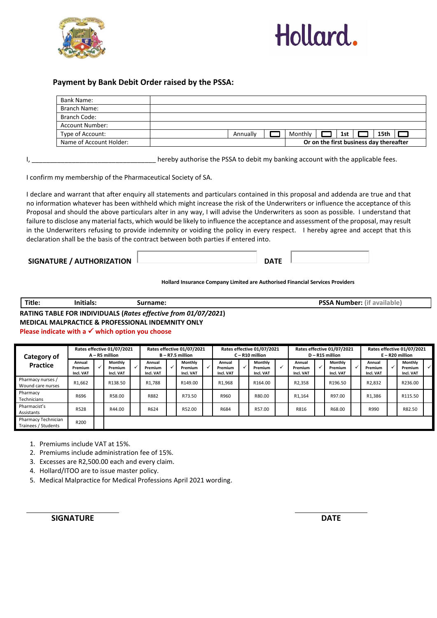



## **Payment by Bank Debit Order raised by the PSSA:**

| Bank Name:              |  |          |                                         |  |     |      |  |
|-------------------------|--|----------|-----------------------------------------|--|-----|------|--|
| Branch Name:            |  |          |                                         |  |     |      |  |
| Branch Code:            |  |          |                                         |  |     |      |  |
| Account Number:         |  |          |                                         |  |     |      |  |
| Type of Account:        |  | Annually | Monthly                                 |  | 1st | 15th |  |
| Name of Account Holder: |  |          | Or on the first business day thereafter |  |     |      |  |

I, the contract the PSSA to debit my banking account with the applicable fees.

I confirm my membership of the Pharmaceutical Society of SA.

I declare and warrant that after enquiry all statements and particulars contained in this proposal and addenda are true and that no information whatever has been withheld which might increase the risk of the Underwriters or influence the acceptance of this Proposal and should the above particulars alter in any way, I will advise the Underwriters as soon as possible. I understand that failure to disclose any material facts, which would be likely to influence the acceptance and assessment of the proposal, may result in the Underwriters refusing to provide indemnity or voiding the policy in every respect. I hereby agree and accept that this declaration shall be the basis of the contract between both parties if entered into.

### **SIGNATURE / AUTHORIZATION DATE**

**Hollard Insurance Company Limited are Authorised Financial Services Providers**

| Title.                                                                     | $\cdots$<br>Initials: | surname: | Number:<br>available<br>. L 1 T<br>ьΔ |  |  |  |
|----------------------------------------------------------------------------|-----------------------|----------|---------------------------------------|--|--|--|
| R INDIVIDUALS (Rates effective from 01/07/2021)<br><b>RATING TABLE FOR</b> |                       |          |                                       |  |  |  |

**RATING TABLE FOR INDIVIDUALS (***Rates effective from 01/07/2021***) MEDICAL MALPRACTICE & PROFESSIONAL INDEMNITY ONLY Please indicate with a** ✓ **which option you choose**

### **Category of Practice Rates effective 01/07/2021 A – R5 million Rates effective 01/07/2021 B – R7.5 million Rates effective 01/07/2021 C – R10 million Rates effective 01/07/2021 D – R15 million Rates effective 01/07/2021 E – R20 million Annual Premium Incl. VAT** ✓ **Monthly Premium Incl. VAT** ✓ **Annual Premium Incl. VAT** ✓ **Monthly Premium Incl. VAT** ✓ **Annual Premium Incl. VAT** ✓ **Monthly Premium Incl. VAT** ✓ **Annual Premium Incl. VAT** ✓ **Monthly Premium Incl. VAT** ✓ **Annual Premium Incl. VAT** ✓ **Monthly Premium Incl. VAT** ✓ Pharmacy nurses / Marmacy Marses / R1,662 R138.50 R1,788 R149.00 R1,968 R164.00 R2,358 R196.50 R2,832 R236.00<br>Wound care nurses R2,832 R236.00 **Pharmacy** Technicians R696 R58.00 R882 R73.50 R960 R80.00 R1,164 R97.00 R1,386 R115.50 Pharmacist's Assistants R528 | | R44.00 | | R624 | | R52.00 | | R684 | | R57.00 | | R816 | | R68.00 | | R990 | | R82.50 Pharmacy Technician Trainees / Students R200

- 1. Premiums include VAT at 15%.
- 2. Premiums include administration fee of 15%.

3. Excesses are R2,500.00 each and every claim.

- 4. Hollard/ITOO are to issue master policy.
- 5. Medical Malpractice for Medical Professions April 2021 wording.

**SIGNATURE DATE**